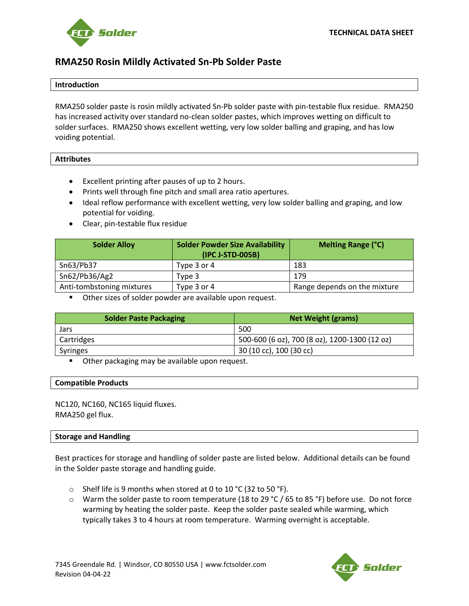

# **RMA250 Rosin Mildly Activated Sn-Pb Solder Paste**

## **Introduction**

RMA250 solder paste is rosin mildly activated Sn-Pb solder paste with pin-testable flux residue. RMA250 has increased activity over standard no-clean solder pastes, which improves wetting on difficult to solder surfaces. RMA250 shows excellent wetting, very low solder balling and graping, and has low voiding potential.

#### **Attributes**

- Excellent printing after pauses of up to 2 hours.
- Prints well through fine pitch and small area ratio apertures.
- Ideal reflow performance with excellent wetting, very low solder balling and graping, and low potential for voiding.
- Clear, pin-testable flux residue

| <b>Solder Alloy</b>       | <b>Solder Powder Size Availability</b><br>(IPC J-STD-005B) | <b>Melting Range (°C)</b>    |
|---------------------------|------------------------------------------------------------|------------------------------|
| Sn63/Pb37                 | Type 3 or 4                                                | 183                          |
| Sn62/Pb36/Ag2             | Tvpe 3                                                     | 179                          |
| Anti-tombstoning mixtures | Type 3 or 4                                                | Range depends on the mixture |

■ Other sizes of solder powder are available upon request.

| <b>Solder Paste Packaging</b> | <b>Net Weight (grams)</b>                     |
|-------------------------------|-----------------------------------------------|
| Jars                          | 500                                           |
| Cartridges                    | 500-600 (6 oz), 700 (8 oz), 1200-1300 (12 oz) |
| Syringes                      | 30 (10 cc), 100 (30 cc)                       |

Other packaging may be available upon request.

#### **Compatible Products**

NC120, NC160, NC165 liquid fluxes. RMA250 gel flux.

## **Storage and Handling**

Best practices for storage and handling of solder paste are listed below. Additional details can be found in the Solder paste storage and handling guide.

- $\circ$  Shelf life is 9 months when stored at 0 to 10 °C (32 to 50 °F).
- $\circ$  Warm the solder paste to room temperature (18 to 29 °C / 65 to 85 °F) before use. Do not force warming by heating the solder paste. Keep the solder paste sealed while warming, which typically takes 3 to 4 hours at room temperature. Warming overnight is acceptable.

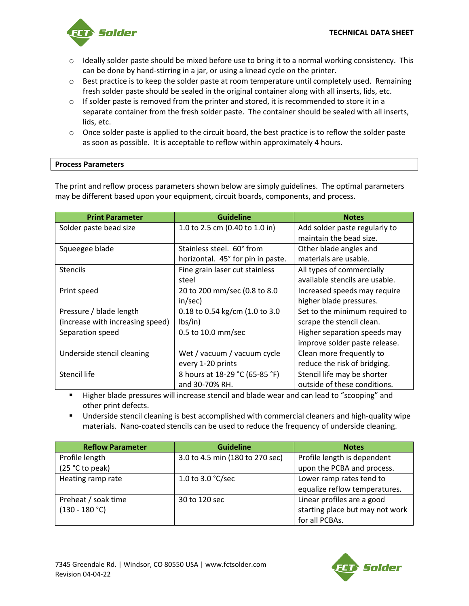

- $\circ$  Ideally solder paste should be mixed before use to bring it to a normal working consistency. This can be done by hand-stirring in a jar, or using a knead cycle on the printer.
- $\circ$  Best practice is to keep the solder paste at room temperature until completely used. Remaining fresh solder paste should be sealed in the original container along with all inserts, lids, etc.
- $\circ$  If solder paste is removed from the printer and stored, it is recommended to store it in a separate container from the fresh solder paste. The container should be sealed with all inserts, lids, etc.
- $\circ$  Once solder paste is applied to the circuit board, the best practice is to reflow the solder paste as soon as possible. It is acceptable to reflow within approximately 4 hours.

# **Process Parameters**

The print and reflow process parameters shown below are simply guidelines. The optimal parameters may be different based upon your equipment, circuit boards, components, and process.

| <b>Print Parameter</b>           | <b>Guideline</b>                  | <b>Notes</b>                   |
|----------------------------------|-----------------------------------|--------------------------------|
| Solder paste bead size           | 1.0 to 2.5 cm (0.40 to 1.0 in)    | Add solder paste regularly to  |
|                                  |                                   | maintain the bead size.        |
| Squeegee blade                   | Stainless steel. 60° from         | Other blade angles and         |
|                                  | horizontal. 45° for pin in paste. | materials are usable.          |
| <b>Stencils</b>                  | Fine grain laser cut stainless    | All types of commercially      |
|                                  | steel                             | available stencils are usable. |
| Print speed                      | 20 to 200 mm/sec (0.8 to 8.0      | Increased speeds may require   |
|                                  | in/sec)                           | higher blade pressures.        |
| Pressure / blade length          | 0.18 to 0.54 kg/cm (1.0 to 3.0    | Set to the minimum required to |
| (increase with increasing speed) | lbs/in)                           | scrape the stencil clean.      |
| Separation speed                 | 0.5 to 10.0 mm/sec                | Higher separation speeds may   |
|                                  |                                   | improve solder paste release.  |
| Underside stencil cleaning       | Wet / vacuum / vacuum cycle       | Clean more frequently to       |
|                                  | every 1-20 prints                 | reduce the risk of bridging.   |
| Stencil life                     | 8 hours at 18-29 °C (65-85 °F)    | Stencil life may be shorter    |
|                                  | and 30-70% RH.                    | outside of these conditions.   |

■ Higher blade pressures will increase stencil and blade wear and can lead to "scooping" and other print defects.

**■** Underside stencil cleaning is best accomplished with commercial cleaners and high-quality wipe materials. Nano-coated stencils can be used to reduce the frequency of underside cleaning.

| <b>Reflow Parameter</b> | <b>Guideline</b>                | <b>Notes</b>                    |
|-------------------------|---------------------------------|---------------------------------|
| Profile length          | 3.0 to 4.5 min (180 to 270 sec) | Profile length is dependent     |
| (25 °C to peak)         |                                 | upon the PCBA and process.      |
| Heating ramp rate       | 1.0 to 3.0 $°C/sec$             | Lower ramp rates tend to        |
|                         |                                 | equalize reflow temperatures.   |
| Preheat / soak time     | 30 to 120 sec                   | Linear profiles are a good      |
| $(130 - 180 °C)$        |                                 | starting place but may not work |
|                         |                                 | for all PCBAs.                  |

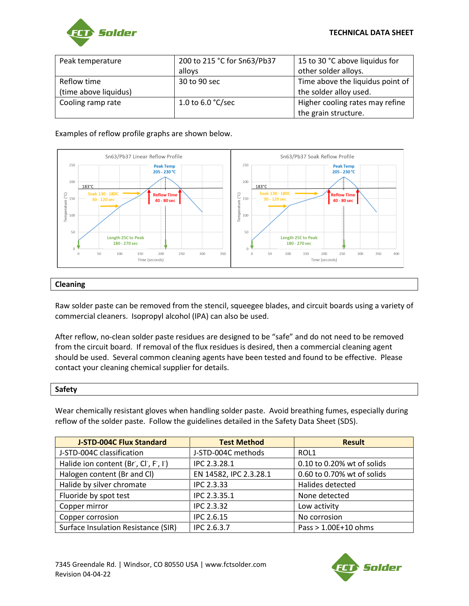

| Peak temperature      | 200 to 215 °C for Sn63/Pb37 | 15 to 30 °C above liquidus for   |
|-----------------------|-----------------------------|----------------------------------|
|                       | alloys                      | other solder alloys.             |
| Reflow time           | 30 to 90 sec                | Time above the liquidus point of |
| (time above liquidus) |                             | the solder alloy used.           |
| Cooling ramp rate     | 1.0 to 6.0 $\degree$ C/sec  | Higher cooling rates may refine  |
|                       |                             | the grain structure.             |

## Examples of reflow profile graphs are shown below.



# **Cleaning**

Raw solder paste can be removed from the stencil, squeegee blades, and circuit boards using a variety of commercial cleaners. Isopropyl alcohol (IPA) can also be used.

After reflow, no-clean solder paste residues are designed to be "safe" and do not need to be removed from the circuit board. If removal of the flux residues is desired, then a commercial cleaning agent should be used. Several common cleaning agents have been tested and found to be effective. Please contact your cleaning chemical supplier for details.

#### **Safety**

Wear chemically resistant gloves when handling solder paste. Avoid breathing fumes, especially during reflow of the solder paste. Follow the guidelines detailed in the Safety Data Sheet (SDS).

| <b>J-STD-004C Flux Standard</b>     | <b>Test Method</b>     | <b>Result</b>              |
|-------------------------------------|------------------------|----------------------------|
| J-STD-004C classification           | J-STD-004C methods     | ROL1                       |
| Halide ion content (Br, Cl, F, I)   | IPC 2.3.28.1           | 0.10 to 0.20% wt of solids |
| Halogen content (Br and Cl)         | EN 14582, IPC 2.3.28.1 | 0.60 to 0.70% wt of solids |
| Halide by silver chromate           | <b>IPC 2.3.33</b>      | Halides detected           |
| Fluoride by spot test               | IPC 2.3.35.1           | None detected              |
| Copper mirror                       | <b>IPC 2.3.32</b>      | Low activity               |
| Copper corrosion                    | <b>IPC 2.6.15</b>      | No corrosion               |
| Surface Insulation Resistance (SIR) | IPC 2.6.3.7            | Pass > 1.00E+10 ohms       |